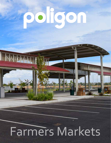# poligon

 $\|\|_{\mathbb{N}}$ 

## Farmers Markets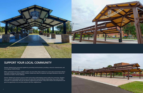Farmers' Markets bring community together by promoting local businesses, providing a venue for entertainment, and encouraging a healthy lifestyle.

When a permanent structure is installed, vendors can move their shops outdoors to a more open environment without the hassle of setting up individual tents. Outdoor markets also allow for expansion and larger attendance without the restrictions of walls or narrow walkways.

Farmers' Markets give everyone access to fresh local produce while keeping revenue within the community. Shoppers have in-person conversations with the farmers who grow their food and develop relationships they would not likely encounter in a supermarket. Not only are patrons supporting local farmers, many other artisans and entrepreneurs are given the opportunity to try out their products with their neighborhood.



### **SUPPORT YOUR LOCAL COMMUNITY**

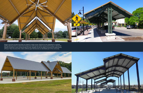

Poligon structures provide more than just shade for market venues. Electrical can be integrated for overhead lighting allowing events to extend into evening hours while giving vendors access points to plug-in without the hazards of extension cords running through the area. Signage can also be added to promote the market during off hours. These structures then create a defined space that becomes an identifiable part of the community.

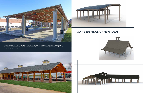



#### **3D RENDERINGS OF NEW IDEAS**